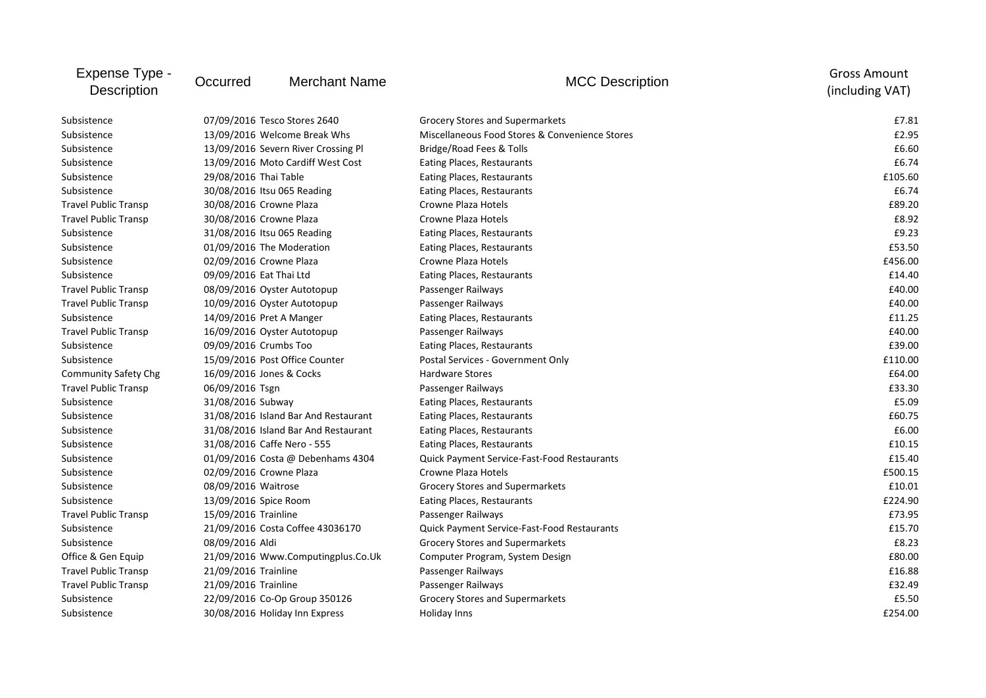| Expense Type -<br><b>Description</b> | Occurred                    | <b>Merchant Name</b>                 | <b>MCC Description</b>                             | <b>Gross Amount</b><br>(including VAT) |
|--------------------------------------|-----------------------------|--------------------------------------|----------------------------------------------------|----------------------------------------|
| Subsistence                          |                             | 07/09/2016 Tesco Stores 2640         | Grocery Stores and Supermarkets                    | £7.81                                  |
| Subsistence                          |                             | 13/09/2016 Welcome Break Whs         | Miscellaneous Food Stores & Convenience Stores     | £2.95                                  |
| Subsistence                          |                             | 13/09/2016 Severn River Crossing Pl  | Bridge/Road Fees & Tolls                           | £6.60                                  |
| Subsistence                          |                             | 13/09/2016 Moto Cardiff West Cost    | Eating Places, Restaurants                         | £6.74                                  |
| Subsistence                          | 29/08/2016 Thai Table       |                                      | Eating Places, Restaurants                         | £105.60                                |
| Subsistence                          | 30/08/2016 Itsu 065 Reading |                                      | Eating Places, Restaurants                         | £6.74                                  |
| <b>Travel Public Transp</b>          | 30/08/2016 Crowne Plaza     |                                      | Crowne Plaza Hotels                                | £89.20                                 |
| <b>Travel Public Transp</b>          | 30/08/2016 Crowne Plaza     |                                      | <b>Crowne Plaza Hotels</b>                         | £8.92                                  |
| Subsistence                          | 31/08/2016 Itsu 065 Reading |                                      | Eating Places, Restaurants                         | £9.23                                  |
| Subsistence                          | 01/09/2016 The Moderation   |                                      | Eating Places, Restaurants                         | £53.50                                 |
| Subsistence                          | 02/09/2016 Crowne Plaza     |                                      | Crowne Plaza Hotels                                | £456.00                                |
| Subsistence                          | 09/09/2016 Eat Thai Ltd     |                                      | Eating Places, Restaurants                         | £14.40                                 |
| <b>Travel Public Transp</b>          |                             | 08/09/2016 Oyster Autotopup          | Passenger Railways                                 | £40.00                                 |
| <b>Travel Public Transp</b>          |                             | 10/09/2016 Oyster Autotopup          | Passenger Railways                                 | £40.00                                 |
| Subsistence                          | 14/09/2016 Pret A Manger    |                                      | Eating Places, Restaurants                         | £11.25                                 |
| <b>Travel Public Transp</b>          |                             | 16/09/2016 Oyster Autotopup          | Passenger Railways                                 | £40.00                                 |
| Subsistence                          | 09/09/2016 Crumbs Too       |                                      | Eating Places, Restaurants                         | £39.00                                 |
| Subsistence                          |                             | 15/09/2016 Post Office Counter       | Postal Services - Government Only                  | £110.00                                |
| <b>Community Safety Chg</b>          | 16/09/2016 Jones & Cocks    |                                      | <b>Hardware Stores</b>                             | £64.00                                 |
| <b>Travel Public Transp</b>          | 06/09/2016 Tsgn             |                                      | Passenger Railways                                 | £33.30                                 |
| Subsistence                          | 31/08/2016 Subway           |                                      | Eating Places, Restaurants                         | £5.09                                  |
| Subsistence                          |                             | 31/08/2016 Island Bar And Restaurant | Eating Places, Restaurants                         | £60.75                                 |
| Subsistence                          |                             | 31/08/2016 Island Bar And Restaurant | Eating Places, Restaurants                         | £6.00                                  |
| Subsistence                          | 31/08/2016 Caffe Nero - 555 |                                      | Eating Places, Restaurants                         | £10.15                                 |
| Subsistence                          |                             | 01/09/2016 Costa @ Debenhams 4304    | <b>Quick Payment Service-Fast-Food Restaurants</b> | £15.40                                 |
| Subsistence                          | 02/09/2016 Crowne Plaza     |                                      | Crowne Plaza Hotels                                | £500.15                                |
| Subsistence                          | 08/09/2016 Waitrose         |                                      | Grocery Stores and Supermarkets                    | £10.01                                 |
| Subsistence                          | 13/09/2016 Spice Room       |                                      | Eating Places, Restaurants                         | £224.90                                |
| <b>Travel Public Transp</b>          | 15/09/2016 Trainline        |                                      | Passenger Railways                                 | £73.95                                 |
| Subsistence                          |                             | 21/09/2016 Costa Coffee 43036170     | Quick Payment Service-Fast-Food Restaurants        | £15.70                                 |
| Subsistence                          | 08/09/2016 Aldi             |                                      | Grocery Stores and Supermarkets                    | £8.23                                  |
| Office & Gen Equip                   |                             | 21/09/2016 Www.Computingplus.Co.Uk   | Computer Program, System Design                    | £80.00                                 |
| <b>Travel Public Transp</b>          | 21/09/2016 Trainline        |                                      | Passenger Railways                                 | £16.88                                 |
| <b>Travel Public Transp</b>          | 21/09/2016 Trainline        |                                      | Passenger Railways                                 | £32.49                                 |
| Subsistence                          |                             | 22/09/2016 Co-Op Group 350126        | <b>Grocery Stores and Supermarkets</b>             | £5.50                                  |
| Subsistence                          |                             | 30/08/2016 Holiday Inn Express       | Holiday Inns                                       | £254.00                                |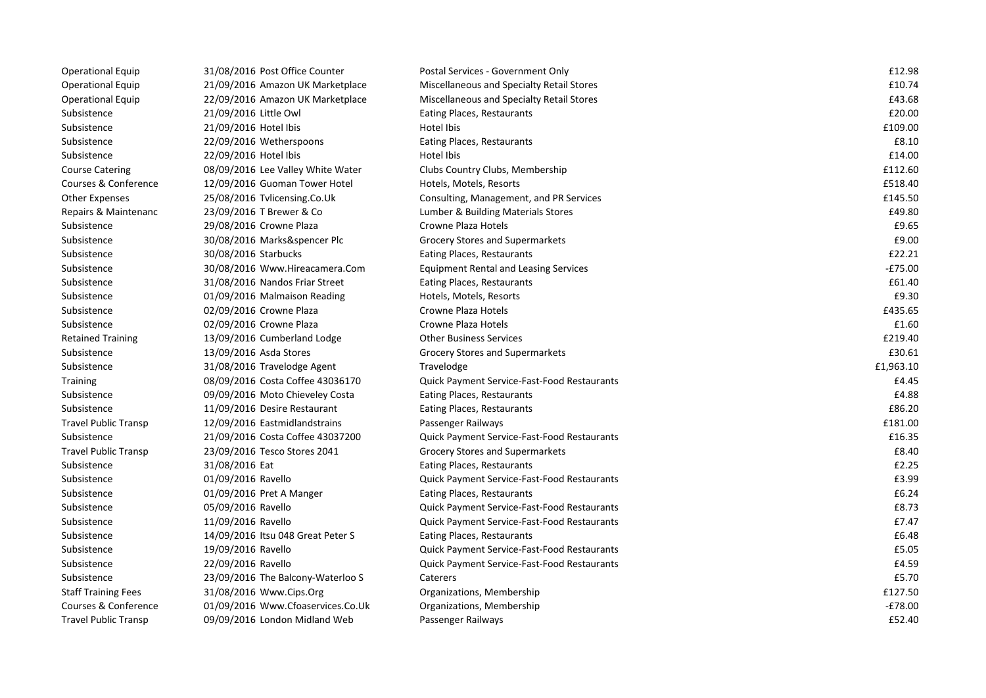| <b>Operational Equip</b>    | 31/08/2016 Post Office Counter    | Postal Services - Government Only                  | £12.98    |
|-----------------------------|-----------------------------------|----------------------------------------------------|-----------|
| <b>Operational Equip</b>    | 21/09/2016 Amazon UK Marketplace  | Miscellaneous and Specialty Retail Stores          | £10.74    |
| <b>Operational Equip</b>    | 22/09/2016 Amazon UK Marketplace  | Miscellaneous and Specialty Retail Stores          | £43.68    |
| Subsistence                 | 21/09/2016 Little Owl             | Eating Places, Restaurants                         | £20.00    |
| Subsistence                 | 21/09/2016 Hotel Ibis             | Hotel Ibis                                         | £109.00   |
| Subsistence                 | 22/09/2016 Wetherspoons           | Eating Places, Restaurants                         | £8.10     |
| Subsistence                 | 22/09/2016 Hotel Ibis             | Hotel Ibis                                         | £14.00    |
| <b>Course Catering</b>      | 08/09/2016 Lee Valley White Water | Clubs Country Clubs, Membership                    | £112.60   |
| Courses & Conference        | 12/09/2016 Guoman Tower Hotel     | Hotels, Motels, Resorts                            | £518.40   |
| <b>Other Expenses</b>       | 25/08/2016 Tvlicensing.Co.Uk      | Consulting, Management, and PR Services            | £145.50   |
| Repairs & Maintenanc        | 23/09/2016 T Brewer & Co          | Lumber & Building Materials Stores                 | £49.80    |
| Subsistence                 | 29/08/2016 Crowne Plaza           | <b>Crowne Plaza Hotels</b>                         | £9.65     |
| Subsistence                 | 30/08/2016 Marks&spencer Plc      | <b>Grocery Stores and Supermarkets</b>             | £9.00     |
| Subsistence                 | 30/08/2016 Starbucks              | Eating Places, Restaurants                         | £22.21    |
| Subsistence                 | 30/08/2016 Www.Hireacamera.Com    | <b>Equipment Rental and Leasing Services</b>       | $-£75.00$ |
| Subsistence                 | 31/08/2016 Nandos Friar Street    | Eating Places, Restaurants                         | £61.40    |
| Subsistence                 | 01/09/2016 Malmaison Reading      | Hotels, Motels, Resorts                            | £9.30     |
| Subsistence                 | 02/09/2016 Crowne Plaza           | <b>Crowne Plaza Hotels</b>                         | £435.65   |
| Subsistence                 | 02/09/2016 Crowne Plaza           | Crowne Plaza Hotels                                | £1.60     |
| <b>Retained Training</b>    | 13/09/2016 Cumberland Lodge       | <b>Other Business Services</b>                     | £219.40   |
| Subsistence                 | 13/09/2016 Asda Stores            | Grocery Stores and Supermarkets                    | £30.61    |
| Subsistence                 | 31/08/2016 Travelodge Agent       | Travelodge                                         | £1,963.10 |
| <b>Training</b>             | 08/09/2016 Costa Coffee 43036170  | Quick Payment Service-Fast-Food Restaurants        | £4.45     |
| Subsistence                 | 09/09/2016 Moto Chieveley Costa   | Eating Places, Restaurants                         | £4.88     |
| Subsistence                 | 11/09/2016 Desire Restaurant      | Eating Places, Restaurants                         | £86.20    |
| <b>Travel Public Transp</b> | 12/09/2016 Eastmidlandstrains     | Passenger Railways                                 | £181.00   |
| Subsistence                 | 21/09/2016 Costa Coffee 43037200  | Quick Payment Service-Fast-Food Restaurants        | £16.35    |
| <b>Travel Public Transp</b> | 23/09/2016 Tesco Stores 2041      | Grocery Stores and Supermarkets                    | £8.40     |
| Subsistence                 | 31/08/2016 Eat                    | Eating Places, Restaurants                         | £2.25     |
| Subsistence                 | 01/09/2016 Ravello                | Quick Payment Service-Fast-Food Restaurants        | £3.99     |
| Subsistence                 | 01/09/2016 Pret A Manger          | Eating Places, Restaurants                         | £6.24     |
| Subsistence                 | 05/09/2016 Ravello                | <b>Quick Payment Service-Fast-Food Restaurants</b> | £8.73     |
| Subsistence                 | 11/09/2016 Ravello                | Quick Payment Service-Fast-Food Restaurants        | £7.47     |
| Subsistence                 | 14/09/2016 Itsu 048 Great Peter S | Eating Places, Restaurants                         | £6.48     |
| Subsistence                 | 19/09/2016 Ravello                | Quick Payment Service-Fast-Food Restaurants        | £5.05     |
| Subsistence                 | 22/09/2016 Ravello                | <b>Quick Payment Service-Fast-Food Restaurants</b> | £4.59     |
| Subsistence                 | 23/09/2016 The Balcony-Waterloo S | Caterers                                           | £5.70     |
| <b>Staff Training Fees</b>  | 31/08/2016 Www.Cips.Org           | Organizations, Membership                          | £127.50   |
| Courses & Conference        | 01/09/2016 Www.Cfoaservices.Co.Uk | Organizations, Membership                          | $-E78.00$ |
| <b>Travel Public Transp</b> | 09/09/2016 London Midland Web     | Passenger Railways                                 | £52.40    |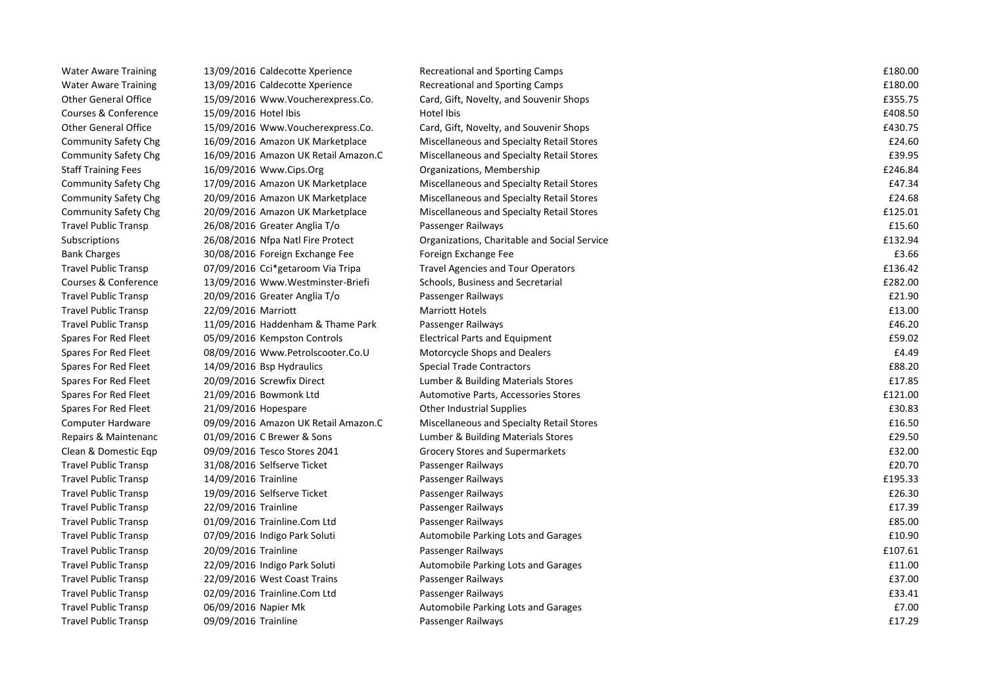| <b>Water Aware Training</b> | 13/09/2016 Caldecotte Xperience      | Recreational and Sporting Camps              | £180.00 |
|-----------------------------|--------------------------------------|----------------------------------------------|---------|
| <b>Water Aware Training</b> | 13/09/2016 Caldecotte Xperience      | Recreational and Sporting Camps              | £180.00 |
| <b>Other General Office</b> | 15/09/2016 Www.Voucherexpress.Co.    | Card, Gift, Novelty, and Souvenir Shops      | £355.75 |
| Courses & Conference        | 15/09/2016 Hotel Ibis                | Hotel Ibis                                   | £408.50 |
| <b>Other General Office</b> | 15/09/2016 Www.Voucherexpress.Co.    | Card, Gift, Novelty, and Souvenir Shops      | £430.75 |
| <b>Community Safety Chg</b> | 16/09/2016 Amazon UK Marketplace     | Miscellaneous and Specialty Retail Stores    | £24.60  |
| <b>Community Safety Chg</b> | 16/09/2016 Amazon UK Retail Amazon.C | Miscellaneous and Specialty Retail Stores    | £39.95  |
| <b>Staff Training Fees</b>  | 16/09/2016 Www.Cips.Org              | Organizations, Membership                    | £246.84 |
| Community Safety Chg        | 17/09/2016 Amazon UK Marketplace     | Miscellaneous and Specialty Retail Stores    | £47.34  |
| <b>Community Safety Chg</b> | 20/09/2016 Amazon UK Marketplace     | Miscellaneous and Specialty Retail Stores    | £24.68  |
| <b>Community Safety Chg</b> | 20/09/2016 Amazon UK Marketplace     | Miscellaneous and Specialty Retail Stores    | £125.01 |
| <b>Travel Public Transp</b> | 26/08/2016 Greater Anglia T/o        | Passenger Railways                           | £15.60  |
| Subscriptions               | 26/08/2016 Nfpa Natl Fire Protect    | Organizations, Charitable and Social Service | £132.94 |
| <b>Bank Charges</b>         | 30/08/2016 Foreign Exchange Fee      | Foreign Exchange Fee                         | £3.66   |
| <b>Travel Public Transp</b> | 07/09/2016 Cci*getaroom Via Tripa    | <b>Travel Agencies and Tour Operators</b>    | £136.42 |
| Courses & Conference        | 13/09/2016 Www.Westminster-Briefi    | Schools, Business and Secretarial            | £282.00 |
| <b>Travel Public Transp</b> | 20/09/2016 Greater Anglia T/o        | Passenger Railways                           | £21.90  |
| <b>Travel Public Transp</b> | 22/09/2016 Marriott                  | <b>Marriott Hotels</b>                       | £13.00  |
| <b>Travel Public Transp</b> | 11/09/2016 Haddenham & Thame Park    | Passenger Railways                           | £46.20  |
| Spares For Red Fleet        | 05/09/2016 Kempston Controls         | Electrical Parts and Equipment               | £59.02  |
| Spares For Red Fleet        | 08/09/2016 Www.Petrolscooter.Co.U    | Motorcycle Shops and Dealers                 | £4.49   |
| Spares For Red Fleet        | 14/09/2016 Bsp Hydraulics            | <b>Special Trade Contractors</b>             | £88.20  |
| Spares For Red Fleet        | 20/09/2016 Screwfix Direct           | Lumber & Building Materials Stores           | £17.85  |
| Spares For Red Fleet        | 21/09/2016 Bowmonk Ltd               | Automotive Parts, Accessories Stores         | £121.00 |
| Spares For Red Fleet        | 21/09/2016 Hopespare                 | Other Industrial Supplies                    | £30.83  |
| Computer Hardware           | 09/09/2016 Amazon UK Retail Amazon.C | Miscellaneous and Specialty Retail Stores    | £16.50  |
| Repairs & Maintenanc        | 01/09/2016 C Brewer & Sons           | Lumber & Building Materials Stores           | £29.50  |
| Clean & Domestic Eqp        | 09/09/2016 Tesco Stores 2041         | Grocery Stores and Supermarkets              | £32.00  |
| <b>Travel Public Transp</b> | 31/08/2016 Selfserve Ticket          | Passenger Railways                           | £20.70  |
| <b>Travel Public Transp</b> | 14/09/2016 Trainline                 | Passenger Railways                           | £195.33 |
| <b>Travel Public Transp</b> | 19/09/2016 Selfserve Ticket          | Passenger Railways                           | £26.30  |
| <b>Travel Public Transp</b> | 22/09/2016 Trainline                 | Passenger Railways                           | £17.39  |
| <b>Travel Public Transp</b> | 01/09/2016 Trainline.Com Ltd         | Passenger Railways                           | £85.00  |
| <b>Travel Public Transp</b> | 07/09/2016 Indigo Park Soluti        | Automobile Parking Lots and Garages          | £10.90  |
| <b>Travel Public Transp</b> | 20/09/2016 Trainline                 | Passenger Railways                           | £107.61 |
| <b>Travel Public Transp</b> | 22/09/2016 Indigo Park Soluti        | Automobile Parking Lots and Garages          | £11.00  |
| <b>Travel Public Transp</b> | 22/09/2016 West Coast Trains         | Passenger Railways                           | £37.00  |
| <b>Travel Public Transp</b> | 02/09/2016 Trainline.Com Ltd         | Passenger Railways                           | £33.41  |
| <b>Travel Public Transp</b> | 06/09/2016 Napier Mk                 | Automobile Parking Lots and Garages          | £7.00   |
| <b>Travel Public Transp</b> | 09/09/2016 Trainline                 | Passenger Railways                           | £17.29  |
|                             |                                      |                                              |         |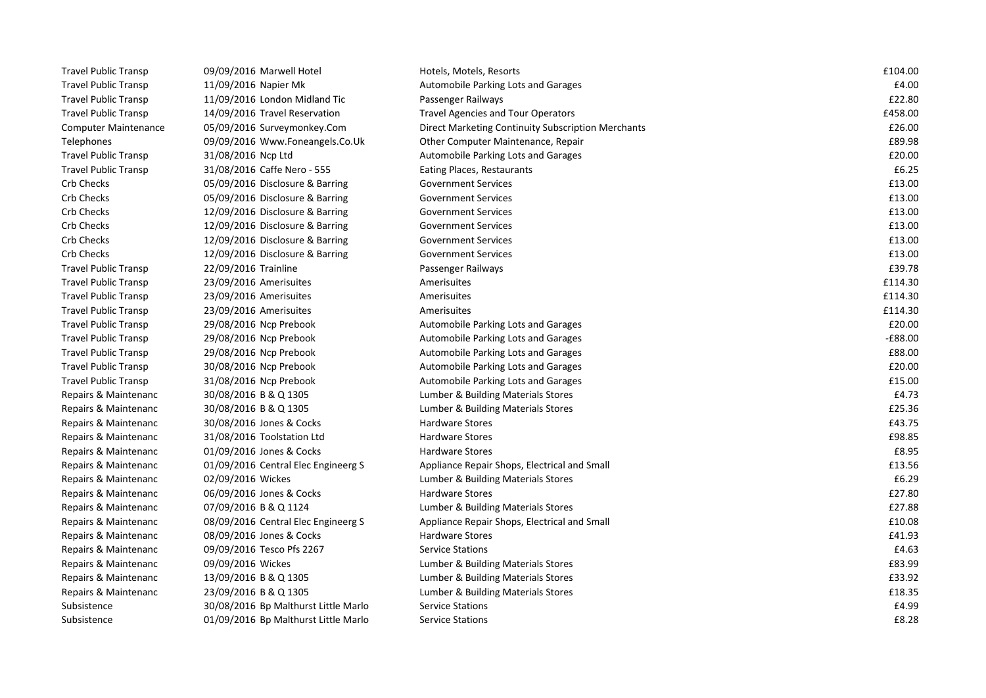| <b>Travel Public Transp</b> | 09/09/2016 Marwell Hotel             | Hotels, Motels, Resorts                            | £104.00   |
|-----------------------------|--------------------------------------|----------------------------------------------------|-----------|
| <b>Travel Public Transp</b> | 11/09/2016 Napier Mk                 | Automobile Parking Lots and Garages                | £4.00     |
| <b>Travel Public Transp</b> | 11/09/2016 London Midland Tic        | Passenger Railways                                 | £22.80    |
| <b>Travel Public Transp</b> | 14/09/2016 Travel Reservation        | <b>Travel Agencies and Tour Operators</b>          | £458.00   |
| <b>Computer Maintenance</b> | 05/09/2016 Surveymonkey.Com          | Direct Marketing Continuity Subscription Merchants | £26.00    |
| Telephones                  | 09/09/2016 Www.Foneangels.Co.Uk      | Other Computer Maintenance, Repair                 | £89.98    |
| <b>Travel Public Transp</b> | 31/08/2016 Ncp Ltd                   | Automobile Parking Lots and Garages                | £20.00    |
| <b>Travel Public Transp</b> | 31/08/2016 Caffe Nero - 555          | Eating Places, Restaurants                         | £6.25     |
| Crb Checks                  | 05/09/2016 Disclosure & Barring      | <b>Government Services</b>                         | £13.00    |
| Crb Checks                  | 05/09/2016 Disclosure & Barring      | <b>Government Services</b>                         | £13.00    |
| Crb Checks                  | 12/09/2016 Disclosure & Barring      | <b>Government Services</b>                         | £13.00    |
| <b>Crb Checks</b>           | 12/09/2016 Disclosure & Barring      | <b>Government Services</b>                         | £13.00    |
| <b>Crb Checks</b>           | 12/09/2016 Disclosure & Barring      | <b>Government Services</b>                         | £13.00    |
| Crb Checks                  | 12/09/2016 Disclosure & Barring      | <b>Government Services</b>                         | £13.00    |
| <b>Travel Public Transp</b> | 22/09/2016 Trainline                 | Passenger Railways                                 | £39.78    |
| <b>Travel Public Transp</b> | 23/09/2016 Amerisuites               | Amerisuites                                        | £114.30   |
| <b>Travel Public Transp</b> | 23/09/2016 Amerisuites               | Amerisuites                                        | £114.30   |
| <b>Travel Public Transp</b> | 23/09/2016 Amerisuites               | Amerisuites                                        | £114.30   |
| <b>Travel Public Transp</b> | 29/08/2016 Ncp Prebook               | Automobile Parking Lots and Garages                | £20.00    |
| <b>Travel Public Transp</b> | 29/08/2016 Ncp Prebook               | Automobile Parking Lots and Garages                | $-£88.00$ |
| <b>Travel Public Transp</b> | 29/08/2016 Ncp Prebook               | Automobile Parking Lots and Garages                | £88.00    |
| <b>Travel Public Transp</b> | 30/08/2016 Ncp Prebook               | Automobile Parking Lots and Garages                | £20.00    |
| <b>Travel Public Transp</b> | 31/08/2016 Ncp Prebook               | Automobile Parking Lots and Garages                | £15.00    |
| Repairs & Maintenanc        | 30/08/2016 B & Q 1305                | Lumber & Building Materials Stores                 | £4.73     |
| Repairs & Maintenanc        | 30/08/2016 B & Q 1305                | Lumber & Building Materials Stores                 | £25.36    |
| Repairs & Maintenanc        | 30/08/2016 Jones & Cocks             | <b>Hardware Stores</b>                             | £43.75    |
| Repairs & Maintenanc        | 31/08/2016 Toolstation Ltd           | <b>Hardware Stores</b>                             | £98.85    |
| Repairs & Maintenanc        | 01/09/2016 Jones & Cocks             | <b>Hardware Stores</b>                             | £8.95     |
| Repairs & Maintenanc        | 01/09/2016 Central Elec Engineerg S  | Appliance Repair Shops, Electrical and Small       | £13.56    |
| Repairs & Maintenanc        | 02/09/2016 Wickes                    | Lumber & Building Materials Stores                 | £6.29     |
| Repairs & Maintenanc        | 06/09/2016 Jones & Cocks             | Hardware Stores                                    | £27.80    |
| Repairs & Maintenanc        | 07/09/2016 B & Q 1124                | Lumber & Building Materials Stores                 | £27.88    |
| Repairs & Maintenanc        | 08/09/2016 Central Elec Engineerg S  | Appliance Repair Shops, Electrical and Small       | £10.08    |
| Repairs & Maintenanc        | 08/09/2016 Jones & Cocks             | Hardware Stores                                    | £41.93    |
| Repairs & Maintenanc        | 09/09/2016 Tesco Pfs 2267            | <b>Service Stations</b>                            | £4.63     |
| Repairs & Maintenanc        | 09/09/2016 Wickes                    | Lumber & Building Materials Stores                 | £83.99    |
| Repairs & Maintenanc        | 13/09/2016 B & Q 1305                | Lumber & Building Materials Stores                 | £33.92    |
| Repairs & Maintenanc        | 23/09/2016 B & Q 1305                | Lumber & Building Materials Stores                 | £18.35    |
| Subsistence                 | 30/08/2016 Bp Malthurst Little Marlo | <b>Service Stations</b>                            | £4.99     |
| Subsistence                 | 01/09/2016 Bp Malthurst Little Marlo | <b>Service Stations</b>                            | £8.28     |